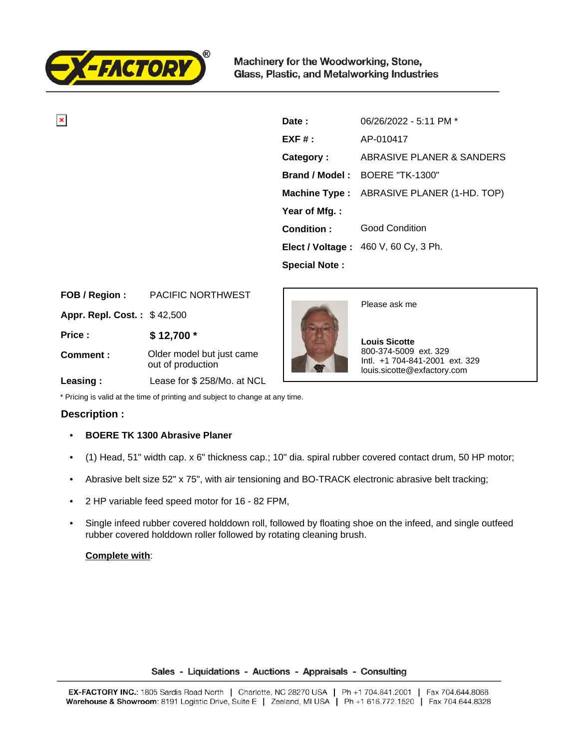

 $\overline{\mathbf{x}}$ 

Machinery for the Woodworking, Stone, Glass, Plastic, and Metalworking Industries

| Date:                | $06/26/2022 - 5:11 \text{ PM}$ *                 |
|----------------------|--------------------------------------------------|
| $EXF#$ :             | AP-010417                                        |
| Category:            | ABRASIVE PLANER & SANDERS                        |
|                      | <b>Brand / Model: BOERE "TK-1300"</b>            |
|                      | <b>Machine Type:</b> ABRASIVE PLANER (1-HD. TOP) |
| Year of Mfg.:        |                                                  |
| Condition:           | <b>Good Condition</b>                            |
|                      | Elect / Voltage: 460 V, 60 Cy, 3 Ph.             |
| <b>Special Note:</b> |                                                  |

| FOB / Region :              | PACIFIC NORTHWEST                              |
|-----------------------------|------------------------------------------------|
| Appr. Repl. Cost.: \$42,500 |                                                |
| Price:                      | $$12,700*$                                     |
| Comment:                    | Older model but just came<br>out of production |
| Leasing:                    | Lease for \$258/Mo. at NCL                     |



Please ask me

 **Louis Sicotte** 800-374-5009 ext. 329 Intl. +1 704-841-2001 ext. 329 louis.sicotte@exfactory.com

\* Pricing is valid at the time of printing and subject to change at any time.

## **Description :**

- **BOERE TK 1300 Abrasive Planer**
- (1) Head, 51" width cap. x 6" thickness cap.; 10" dia. spiral rubber covered contact drum, 50 HP motor;
- Abrasive belt size 52" x 75", with air tensioning and BO-TRACK electronic abrasive belt tracking;
- 2 HP variable feed speed motor for 16 82 FPM,
- Single infeed rubber covered holddown roll, followed by floating shoe on the infeed, and single outfeed rubber covered holddown roller followed by rotating cleaning brush.

## **Complete with**:

## Sales - Liquidations - Auctions - Appraisals - Consulting